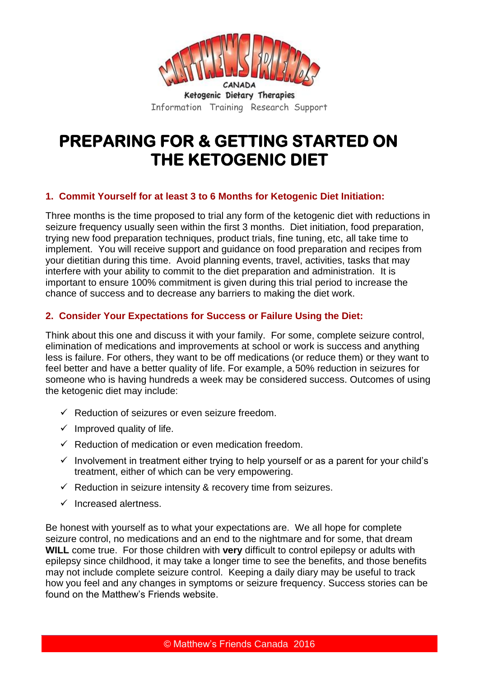

Ketogenic Dietary Therapies Information Training Research Support

# **PREPARING FOR & GETTING STARTED ON THE KETOGENIC DIET**

#### **1. Commit Yourself for at least 3 to 6 Months for Ketogenic Diet Initiation:**

Three months is the time proposed to trial any form of the ketogenic diet with reductions in seizure frequency usually seen within the first 3 months. Diet initiation, food preparation, trying new food preparation techniques, product trials, fine tuning, etc, all take time to implement. You will receive support and guidance on food preparation and recipes from your dietitian during this time. Avoid planning events, travel, activities, tasks that may interfere with your ability to commit to the diet preparation and administration. It is important to ensure 100% commitment is given during this trial period to increase the chance of success and to decrease any barriers to making the diet work.

## **2. Consider Your Expectations for Success or Failure Using the Diet:**

Think about this one and discuss it with your family. For some, complete seizure control, elimination of medications and improvements at school or work is success and anything less is failure. For others, they want to be off medications (or reduce them) or they want to feel better and have a better quality of life. For example, a 50% reduction in seizures for someone who is having hundreds a week may be considered success. Outcomes of using the ketogenic diet may include:

- $\checkmark$  Reduction of seizures or even seizure freedom.
- $\checkmark$  Improved quality of life.
- $\checkmark$  Reduction of medication or even medication freedom.
- $\checkmark$  Involvement in treatment either trying to help yourself or as a parent for your child's treatment, either of which can be very empowering.
- $\checkmark$  Reduction in seizure intensity & recovery time from seizures.
- $\checkmark$  Increased alertness.

Be honest with yourself as to what your expectations are. We all hope for complete seizure control, no medications and an end to the nightmare and for some, that dream **WILL** come true. For those children with **very** difficult to control epilepsy or adults with epilepsy since childhood, it may take a longer time to see the benefits, and those benefits may not include complete seizure control. Keeping a daily diary may be useful to track how you feel and any changes in symptoms or seizure frequency. Success stories can be found on the Matthew's Friends website.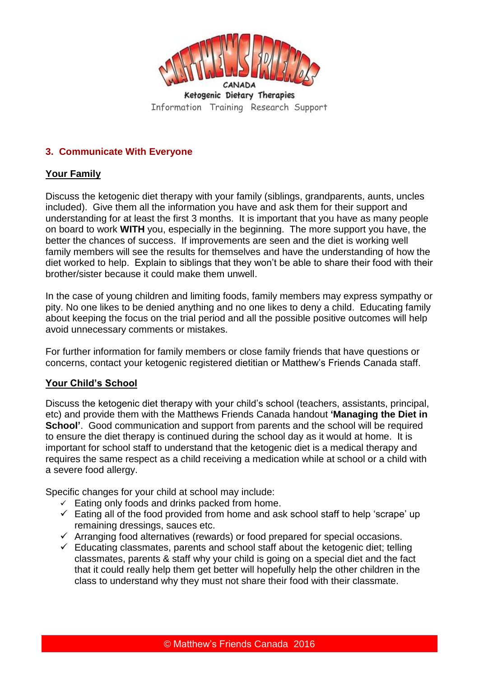

Ketogenic Dietary Therapies Information Training Research Support

## **3. Communicate With Everyone**

## **Your Family**

Discuss the ketogenic diet therapy with your family (siblings, grandparents, aunts, uncles included). Give them all the information you have and ask them for their support and understanding for at least the first 3 months. It is important that you have as many people on board to work **WITH** you, especially in the beginning. The more support you have, the better the chances of success. If improvements are seen and the diet is working well family members will see the results for themselves and have the understanding of how the diet worked to help. Explain to siblings that they won't be able to share their food with their brother/sister because it could make them unwell.

In the case of young children and limiting foods, family members may express sympathy or pity. No one likes to be denied anything and no one likes to deny a child. Educating family about keeping the focus on the trial period and all the possible positive outcomes will help avoid unnecessary comments or mistakes.

For further information for family members or close family friends that have questions or concerns, contact your ketogenic registered dietitian or Matthew's Friends Canada staff.

## **Your Child's School**

Discuss the ketogenic diet therapy with your child's school (teachers, assistants, principal, etc) and provide them with the Matthews Friends Canada handout **'Managing the Diet in School'.** Good communication and support from parents and the school will be required to ensure the diet therapy is continued during the school day as it would at home. It is important for school staff to understand that the ketogenic diet is a medical therapy and requires the same respect as a child receiving a medication while at school or a child with a severe food allergy.

Specific changes for your child at school may include:

- $\checkmark$  Eating only foods and drinks packed from home.
- $\checkmark$  Eating all of the food provided from home and ask school staff to help 'scrape' up remaining dressings, sauces etc.
- $\checkmark$  Arranging food alternatives (rewards) or food prepared for special occasions.
- $\checkmark$  Educating classmates, parents and school staff about the ketogenic diet; telling classmates, parents & staff why your child is going on a special diet and the fact that it could really help them get better will hopefully help the other children in the class to understand why they must not share their food with their classmate.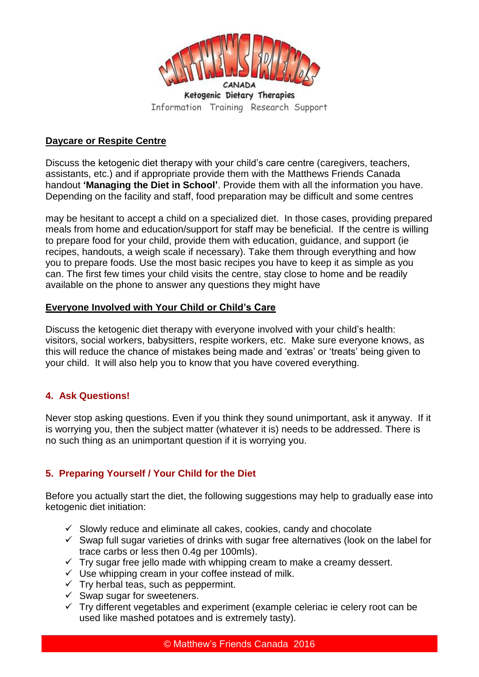

Information Training Research Support

## **Daycare or Respite Centre**

Discuss the ketogenic diet therapy with your child's care centre (caregivers, teachers, assistants, etc.) and if appropriate provide them with the Matthews Friends Canada handout **'Managing the Diet in School'**. Provide them with all the information you have. Depending on the facility and staff, food preparation may be difficult and some centres

may be hesitant to accept a child on a specialized diet. In those cases, providing prepared meals from home and education/support for staff may be beneficial. If the centre is willing to prepare food for your child, provide them with education, guidance, and support (ie recipes, handouts, a weigh scale if necessary). Take them through everything and how you to prepare foods. Use the most basic recipes you have to keep it as simple as you can. The first few times your child visits the centre, stay close to home and be readily available on the phone to answer any questions they might have

#### **Everyone Involved with Your Child or Child's Care**

Discuss the ketogenic diet therapy with everyone involved with your child's health: visitors, social workers, babysitters, respite workers, etc. Make sure everyone knows, as this will reduce the chance of mistakes being made and 'extras' or 'treats' being given to your child. It will also help you to know that you have covered everything.

#### **4. Ask Questions!**

Never stop asking questions. Even if you think they sound unimportant, ask it anyway. If it is worrying you, then the subject matter (whatever it is) needs to be addressed. There is no such thing as an unimportant question if it is worrying you.

## **5. Preparing Yourself / Your Child for the Diet**

Before you actually start the diet, the following suggestions may help to gradually ease into ketogenic diet initiation:

- $\checkmark$  Slowly reduce and eliminate all cakes, cookies, candy and chocolate
- $\checkmark$  Swap full sugar varieties of drinks with sugar free alternatives (look on the label for trace carbs or less then 0.4g per 100mls).
- $\checkmark$  Try sugar free jello made with whipping cream to make a creamy dessert.
- $\checkmark$  Use whipping cream in your coffee instead of milk.
- $\checkmark$  Try herbal teas, such as peppermint.
- $\checkmark$  Swap sugar for sweeteners.
- $\checkmark$  Try different vegetables and experiment (example celeriac ie celery root can be used like mashed potatoes and is extremely tasty).

© Matthew's Friends Canada 2016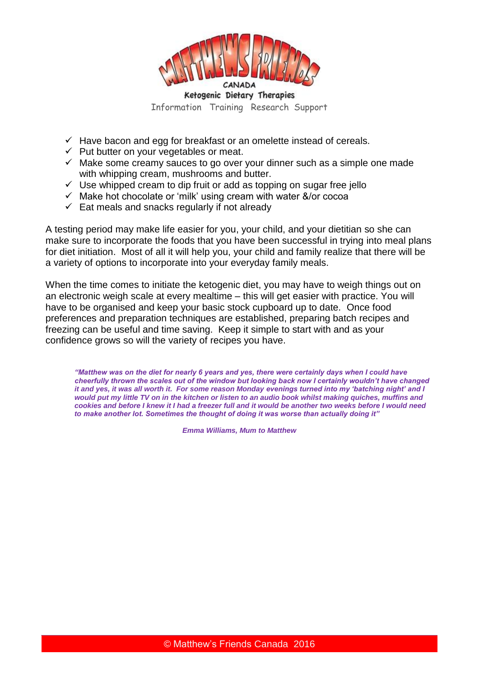

- $\checkmark$  Have bacon and egg for breakfast or an omelette instead of cereals.
- $\checkmark$  Put butter on your vegetables or meat.
- $\checkmark$  Make some creamy sauces to go over your dinner such as a simple one made with whipping cream, mushrooms and butter.
- $\checkmark$  Use whipped cream to dip fruit or add as topping on sugar free jello
- $\checkmark$  Make hot chocolate or 'milk' using cream with water &/or cocoa
- $\checkmark$  Eat meals and snacks regularly if not already

A testing period may make life easier for you, your child, and your dietitian so she can make sure to incorporate the foods that you have been successful in trying into meal plans for diet initiation. Most of all it will help you, your child and family realize that there will be a variety of options to incorporate into your everyday family meals.

When the time comes to initiate the ketogenic diet, you may have to weigh things out on an electronic weigh scale at every mealtime – this will get easier with practice. You will have to be organised and keep your basic stock cupboard up to date. Once food preferences and preparation techniques are established, preparing batch recipes and freezing can be useful and time saving. Keep it simple to start with and as your confidence grows so will the variety of recipes you have.

*"Matthew was on the diet for nearly 6 years and yes, there were certainly days when I could have cheerfully thrown the scales out of the window but looking back now I certainly wouldn't have changed it and yes, it was all worth it. For some reason Monday evenings turned into my 'batching night' and I would put my little TV on in the kitchen or listen to an audio book whilst making quiches, muffins and cookies and before I knew it I had a freezer full and it would be another two weeks before I would need to make another lot. Sometimes the thought of doing it was worse than actually doing it"* 

*Emma Williams, Mum to Matthew*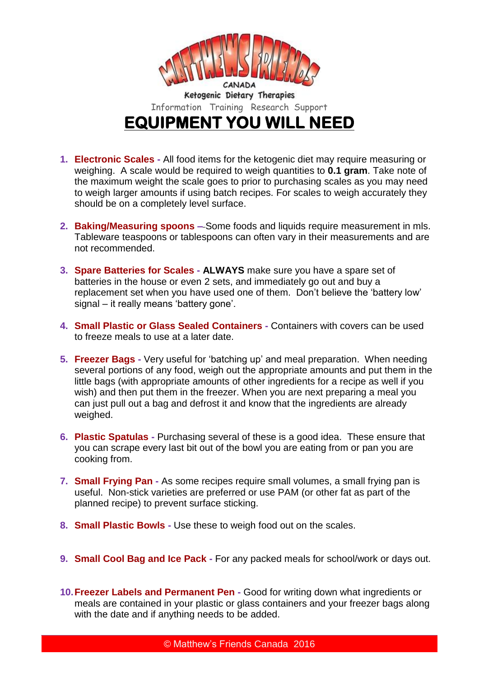

Information Training Research Support **EQUIPMENT YOU WILL NEED** 

- **1. Electronic Scales -** All food items for the ketogenic diet may require measuring or weighing. A scale would be required to weigh quantities to **0.1 gram**. Take note of the maximum weight the scale goes to prior to purchasing scales as you may need to weigh larger amounts if using batch recipes. For scales to weigh accurately they should be on a completely level surface.
- **2. Baking/Measuring spoons –** Some foods and liquids require measurement in mls. Tableware teaspoons or tablespoons can often vary in their measurements and are not recommended.
- **3. Spare Batteries for Scales - ALWAYS** make sure you have a spare set of batteries in the house or even 2 sets, and immediately go out and buy a replacement set when you have used one of them. Don't believe the 'battery low' signal – it really means 'battery gone'.
- **4. Small Plastic or Glass Sealed Containers -** Containers with covers can be used to freeze meals to use at a later date.
- **5. Freezer Bags -** Very useful for 'batching up' and meal preparation. When needing several portions of any food, weigh out the appropriate amounts and put them in the little bags (with appropriate amounts of other ingredients for a recipe as well if you wish) and then put them in the freezer. When you are next preparing a meal you can just pull out a bag and defrost it and know that the ingredients are already weighed.
- **6. Plastic Spatulas -** Purchasing several of these is a good idea. These ensure that you can scrape every last bit out of the bowl you are eating from or pan you are cooking from.
- **7. Small Frying Pan -** As some recipes require small volumes, a small frying pan is useful. Non-stick varieties are preferred or use PAM (or other fat as part of the planned recipe) to prevent surface sticking.
- **8. Small Plastic Bowls -** Use these to weigh food out on the scales.
- **9. Small Cool Bag and Ice Pack -** For any packed meals for school/work or days out.
- **10.Freezer Labels and Permanent Pen -** Good for writing down what ingredients or meals are contained in your plastic or glass containers and your freezer bags along with the date and if anything needs to be added.

© Matthew's Friends Canada 2016